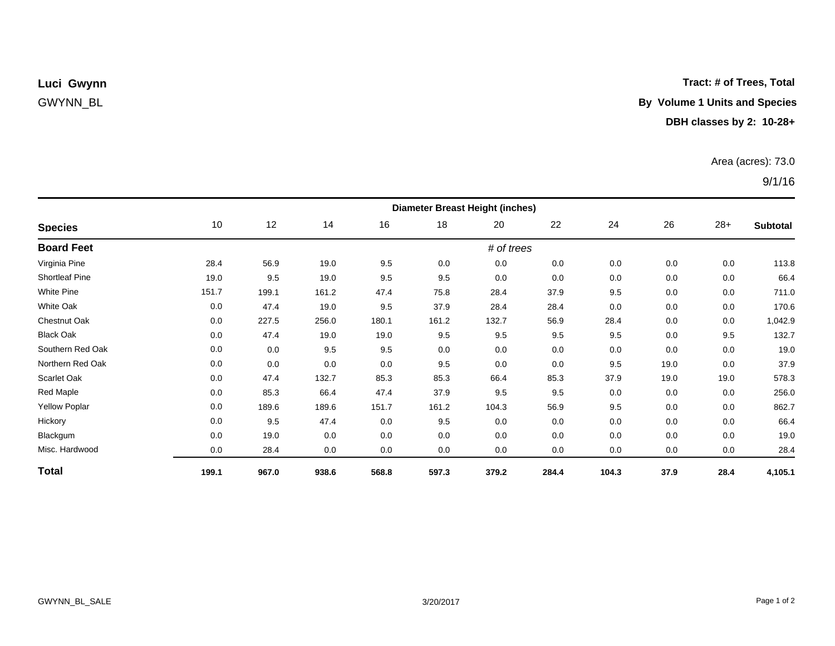### **Tract: # of Trees, Total**

# GWYNN\_BL **By Volume 1 Units and Species**

## **DBH classes by 2: 10-28+**

### Area (acres): 73.0

## 9/1/16

| <b>Species</b>        | <b>Diameter Breast Height (inches)</b> |       |       |       |       |       |       |       |      |       |          |  |
|-----------------------|----------------------------------------|-------|-------|-------|-------|-------|-------|-------|------|-------|----------|--|
|                       | 10                                     | 12    | 14    | 16    | 18    | 20    | 22    | 24    | 26   | $28+$ | Subtotal |  |
| <b>Board Feet</b>     | # of trees                             |       |       |       |       |       |       |       |      |       |          |  |
| Virginia Pine         | 28.4                                   | 56.9  | 19.0  | 9.5   | 0.0   | 0.0   | 0.0   | 0.0   | 0.0  | 0.0   | 113.8    |  |
| <b>Shortleaf Pine</b> | 19.0                                   | 9.5   | 19.0  | 9.5   | 9.5   | 0.0   | 0.0   | 0.0   | 0.0  | 0.0   | 66.4     |  |
| <b>White Pine</b>     | 151.7                                  | 199.1 | 161.2 | 47.4  | 75.8  | 28.4  | 37.9  | 9.5   | 0.0  | 0.0   | 711.0    |  |
| White Oak             | 0.0                                    | 47.4  | 19.0  | 9.5   | 37.9  | 28.4  | 28.4  | 0.0   | 0.0  | 0.0   | 170.6    |  |
| Chestnut Oak          | 0.0                                    | 227.5 | 256.0 | 180.1 | 161.2 | 132.7 | 56.9  | 28.4  | 0.0  | 0.0   | 1,042.9  |  |
| <b>Black Oak</b>      | 0.0                                    | 47.4  | 19.0  | 19.0  | 9.5   | 9.5   | 9.5   | 9.5   | 0.0  | 9.5   | 132.7    |  |
| Southern Red Oak      | 0.0                                    | 0.0   | 9.5   | 9.5   | 0.0   | 0.0   | 0.0   | 0.0   | 0.0  | 0.0   | 19.0     |  |
| Northern Red Oak      | 0.0                                    | 0.0   | 0.0   | 0.0   | 9.5   | 0.0   | 0.0   | 9.5   | 19.0 | 0.0   | 37.9     |  |
| Scarlet Oak           | 0.0                                    | 47.4  | 132.7 | 85.3  | 85.3  | 66.4  | 85.3  | 37.9  | 19.0 | 19.0  | 578.3    |  |
| Red Maple             | 0.0                                    | 85.3  | 66.4  | 47.4  | 37.9  | 9.5   | 9.5   | 0.0   | 0.0  | 0.0   | 256.0    |  |
| <b>Yellow Poplar</b>  | 0.0                                    | 189.6 | 189.6 | 151.7 | 161.2 | 104.3 | 56.9  | 9.5   | 0.0  | 0.0   | 862.7    |  |
| Hickory               | 0.0                                    | 9.5   | 47.4  | 0.0   | 9.5   | 0.0   | 0.0   | 0.0   | 0.0  | 0.0   | 66.4     |  |
| Blackgum              | 0.0                                    | 19.0  | 0.0   | 0.0   | 0.0   | 0.0   | 0.0   | 0.0   | 0.0  | 0.0   | 19.0     |  |
| Misc. Hardwood        | 0.0                                    | 28.4  | 0.0   | 0.0   | 0.0   | 0.0   | 0.0   | 0.0   | 0.0  | 0.0   | 28.4     |  |
| <b>Total</b>          | 199.1                                  | 967.0 | 938.6 | 568.8 | 597.3 | 379.2 | 284.4 | 104.3 | 37.9 | 28.4  | 4,105.1  |  |